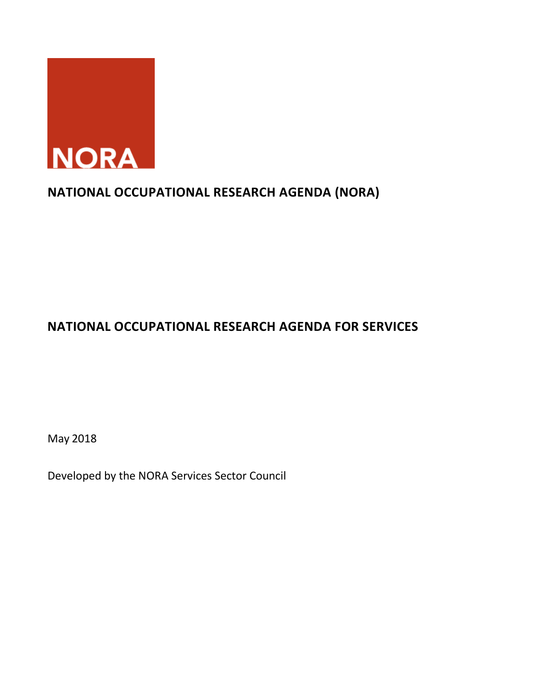

# **NATIONAL OCCUPATIONAL RESEARCH AGENDA (NORA)**

# **NATIONAL OCCUPATIONAL RESEARCH AGENDA FOR SERVICES**

May 2018

Developed by the NORA Services Sector Council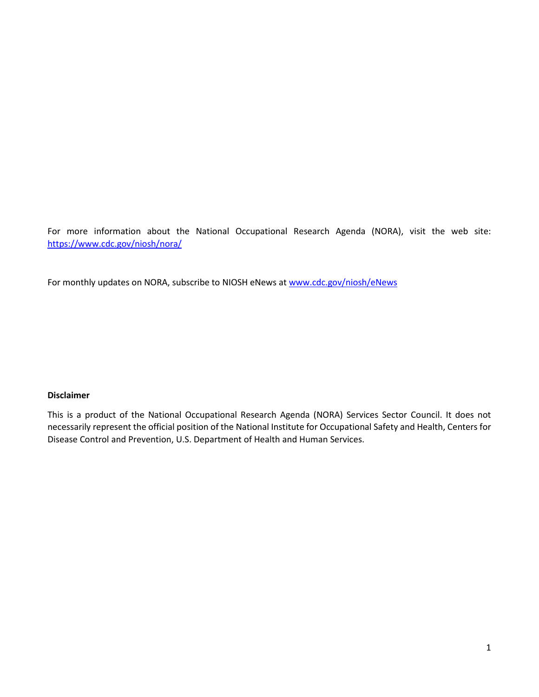For more information about the National Occupational Research Agenda (NORA), visit the web site: <https://www.cdc.gov/niosh/nora/>

For monthly updates on NORA, subscribe to NIOSH eNews at www.cdc.gov/niosh/eNews

#### **Disclaimer**

This is a product of the National Occupational Research Agenda (NORA) Services Sector Council. It does not necessarily represent the official position of the National Institute for Occupational Safety and Health, Centers for Disease Control and Prevention, U.S. Department of Health and Human Services.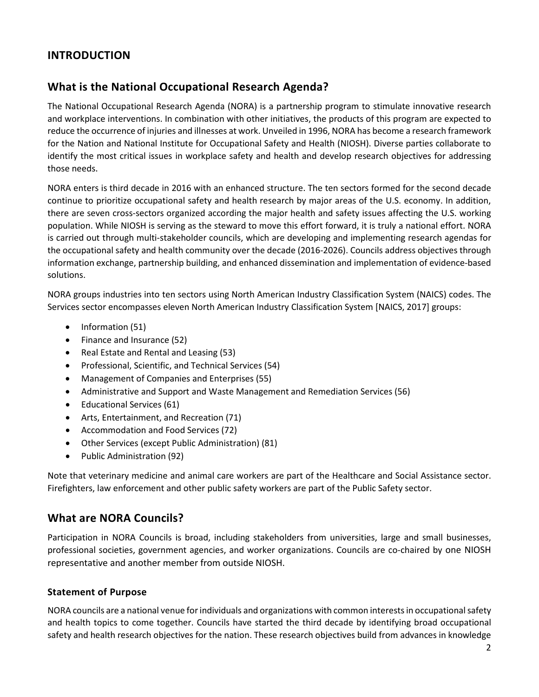## **INTRODUCTION**

## **What is the National Occupational Research Agenda?**

The National Occupational Research Agenda (NORA) is a partnership program to stimulate innovative research and workplace interventions. In combination with other initiatives, the products of this program are expected to reduce the occurrence of injuries and illnesses at work. Unveiled in 1996, NORA has become a research framework for the Nation and National Institute for Occupational Safety and Health (NIOSH). Diverse parties collaborate to identify the most critical issues in workplace safety and health and develop research objectives for addressing those needs.

NORA enters is third decade in 2016 with an enhanced structure. The ten sectors formed for the second decade continue to prioritize occupational safety and health research by major areas of the U.S. economy. In addition, there are seven cross-sectors organized according the major health and safety issues affecting the U.S. working population. While NIOSH is serving as the steward to move this effort forward, it is truly a national effort. NORA is carried out through multi-stakeholder councils, which are developing and implementing research agendas for the occupational safety and health community over the decade (2016-2026). Councils address objectives through information exchange, partnership building, and enhanced dissemination and implementation of evidence-based solutions.

NORA groups industries into ten sectors using North American Industry Classification System (NAICS) codes. The Services sector encompasses eleven North American Industry Classification System [NAICS, 2017] groups:

- Information (51)
- Finance and Insurance (52)
- Real Estate and Rental and Leasing (53)
- Professional, Scientific, and Technical Services (54)
- Management of Companies and Enterprises (55)
- Administrative and Support and Waste Management and Remediation Services (56)
- Educational Services (61)
- Arts, Entertainment, and Recreation (71)
- Accommodation and Food Services (72)
- Other Services (except Public Administration) (81)
- Public Administration (92)

Note that veterinary medicine and animal care workers are part of the Healthcare and Social Assistance sector. Firefighters, law enforcement and other public safety workers are part of the Public Safety sector.

## **What are NORA Councils?**

Participation in NORA Councils is broad, including stakeholders from universities, large and small businesses, professional societies, government agencies, and worker organizations. Councils are co-chaired by one NIOSH representative and another member from outside NIOSH.

### **Statement of Purpose**

NORA councils are a national venue for individuals and organizations with common interests in occupational safety and health topics to come together. Councils have started the third decade by identifying broad occupational safety and health research objectives for the nation. These research objectives build from advances in knowledge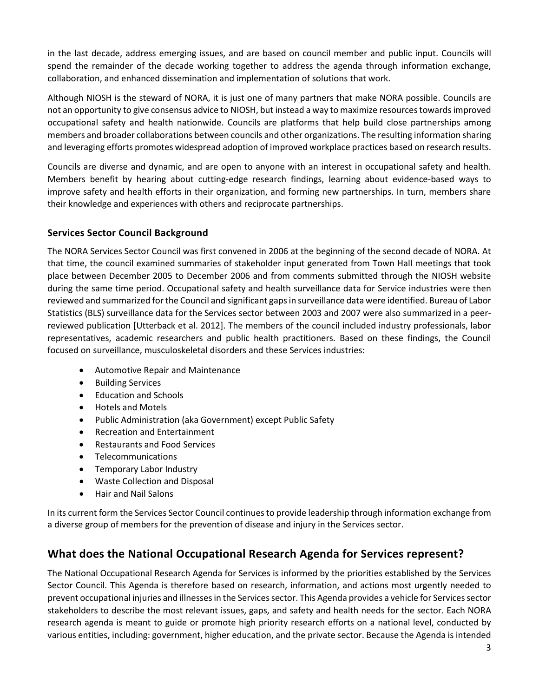in the last decade, address emerging issues, and are based on council member and public input. Councils will spend the remainder of the decade working together to address the agenda through information exchange, collaboration, and enhanced dissemination and implementation of solutions that work.

Although NIOSH is the steward of NORA, it is just one of many partners that make NORA possible. Councils are not an opportunity to give consensus advice to NIOSH, but instead a way to maximize resources towards improved occupational safety and health nationwide. Councils are platforms that help build close partnerships among members and broader collaborations between councils and other organizations. The resulting information sharing and leveraging efforts promotes widespread adoption of improved workplace practices based on research results.

Councils are diverse and dynamic, and are open to anyone with an interest in occupational safety and health. Members benefit by hearing about cutting-edge research findings, learning about evidence-based ways to improve safety and health efforts in their organization, and forming new partnerships. In turn, members share their knowledge and experiences with others and reciprocate partnerships.

### **Services Sector Council Background**

The NORA Services Sector Council was first convened in 2006 at the beginning of the second decade of NORA. At that time, the council examined summaries of stakeholder input generated from Town Hall meetings that took place between December 2005 to December 2006 and from comments submitted through the NIOSH website during the same time period. Occupational safety and health surveillance data for Service industries were then reviewed and summarized for the Council and significant gaps in surveillance data were identified. Bureau of Labor Statistics (BLS) surveillance data for the Services sector between 2003 and 2007 were also summarized in a peerreviewed publication [Utterback et al. 2012]. The members of the council included industry professionals, labor representatives, academic researchers and public health practitioners. Based on these findings, the Council focused on surveillance, musculoskeletal disorders and these Services industries:

- Automotive Repair and Maintenance
- Building Services
- Education and Schools
- Hotels and Motels
- Public Administration (aka Government) except Public Safety
- Recreation and Entertainment
- Restaurants and Food Services
- Telecommunications
- Temporary Labor Industry
- Waste Collection and Disposal
- Hair and Nail Salons

In its current form the Services Sector Council continues to provide leadership through information exchange from a diverse group of members for the prevention of disease and injury in the Services sector.

### **What does the National Occupational Research Agenda for Services represent?**

The National Occupational Research Agenda for Services is informed by the priorities established by the Services Sector Council. This Agenda is therefore based on research, information, and actions most urgently needed to prevent occupational injuries and illnesses in the Services sector. This Agenda provides a vehicle for Services sector stakeholders to describe the most relevant issues, gaps, and safety and health needs for the sector. Each NORA research agenda is meant to guide or promote high priority research efforts on a national level, conducted by various entities, including: government, higher education, and the private sector. Because the Agenda is intended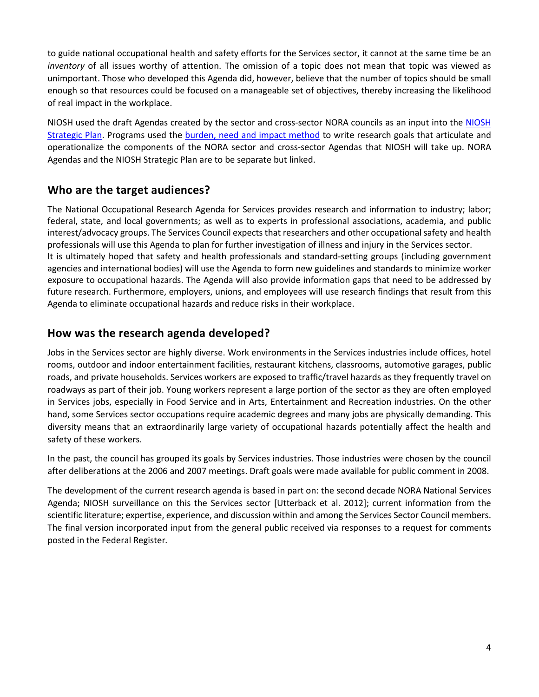to guide national occupational health and safety efforts for the Services sector, it cannot at the same time be an *inventory* of all issues worthy of attention. The omission of a topic does not mean that topic was viewed as unimportant. Those who developed this Agenda did, however, believe that the number of topics should be small enough so that resources could be focused on a manageable set of objectives, thereby increasing the likelihood of real impact in the workplace.

NIOSH used the draft Agendas created by the sector and cross-sector NORA councils as an input into the [NIOSH](https://www.cdc.gov/niosh/about/strategicplan/default.html)  [Strategic Plan.](https://www.cdc.gov/niosh/about/strategicplan/default.html) Programs used the [burden, need and impact method](https://www.cdc.gov/niosh/programs/bni.html) to write research goals that articulate and operationalize the components of the NORA sector and cross-sector Agendas that NIOSH will take up. NORA Agendas and the NIOSH Strategic Plan are to be separate but linked.

## **Who are the target audiences?**

The National Occupational Research Agenda for Services provides research and information to industry; labor; federal, state, and local governments; as well as to experts in professional associations, academia, and public interest/advocacy groups. The Services Council expects that researchers and other occupational safety and health professionals will use this Agenda to plan for further investigation of illness and injury in the Services sector. It is ultimately hoped that safety and health professionals and standard-setting groups (including government agencies and international bodies) will use the Agenda to form new guidelines and standards to minimize worker exposure to occupational hazards. The Agenda will also provide information gaps that need to be addressed by future research. Furthermore, employers, unions, and employees will use research findings that result from this Agenda to eliminate occupational hazards and reduce risks in their workplace.

## **How was the research agenda developed?**

Jobs in the Services sector are highly diverse. Work environments in the Services industries include offices, hotel rooms, outdoor and indoor entertainment facilities, restaurant kitchens, classrooms, automotive garages, public roads, and private households. Services workers are exposed to traffic/travel hazards as they frequently travel on roadways as part of their job. Young workers represent a large portion of the sector as they are often employed in Services jobs, especially in Food Service and in Arts, Entertainment and Recreation industries. On the other hand, some Services sector occupations require academic degrees and many jobs are physically demanding. This diversity means that an extraordinarily large variety of occupational hazards potentially affect the health and safety of these workers.

In the past, the council has grouped its goals by Services industries. Those industries were chosen by the council after deliberations at the 2006 and 2007 meetings. Draft goals were made available for public comment in 2008.

The development of the current research agenda is based in part on: the second decade NORA National Services Agenda; NIOSH surveillance on this the Services sector [Utterback et al. 2012]; current information from the scientific literature; expertise, experience, and discussion within and among the Services Sector Council members. The final version incorporated input from the general public received via responses to a request for comments posted in the Federal Register*.*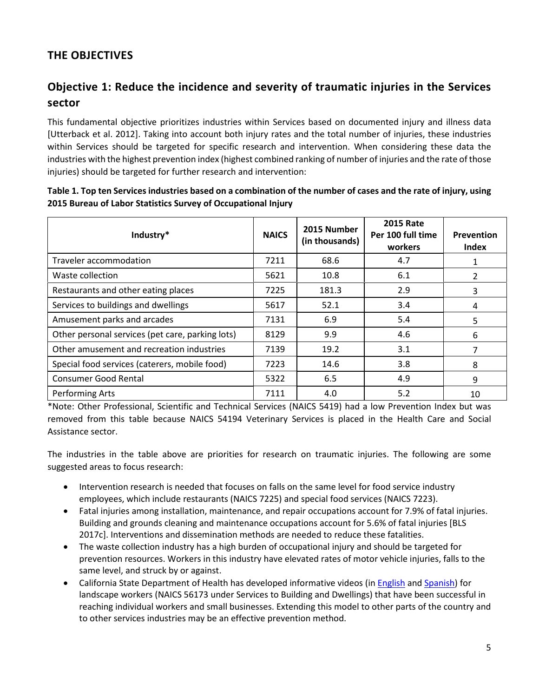## **THE OBJECTIVES**

## **Objective 1: Reduce the incidence and severity of traumatic injuries in the Services sector**

This fundamental objective prioritizes industries within Services based on documented injury and illness data [Utterback et al. 2012]. Taking into account both injury rates and the total number of injuries, these industries within Services should be targeted for specific research and intervention. When considering these data the industries with the highest prevention index (highest combined ranking of number of injuries and the rate of those injuries) should be targeted for further research and intervention:

| Industry*                                        | <b>NAICS</b> | 2015 Number<br>(in thousands) | <b>2015 Rate</b><br>Per 100 full time<br>workers | <b>Prevention</b><br><b>Index</b> |
|--------------------------------------------------|--------------|-------------------------------|--------------------------------------------------|-----------------------------------|
| Traveler accommodation                           | 7211         | 68.6                          | 4.7                                              |                                   |
| Waste collection                                 | 5621         | 10.8                          | 6.1                                              | 2                                 |
| Restaurants and other eating places              | 7225         | 181.3                         | 2.9                                              | 3                                 |
| Services to buildings and dwellings              | 5617         | 52.1                          | 3.4                                              | 4                                 |
| Amusement parks and arcades                      | 7131         | 6.9                           | 5.4                                              | 5                                 |
| Other personal services (pet care, parking lots) | 8129         | 9.9                           | 4.6                                              | 6                                 |
| Other amusement and recreation industries        | 7139         | 19.2                          | 3.1                                              |                                   |
| Special food services (caterers, mobile food)    | 7223         | 14.6                          | 3.8                                              | 8                                 |
| <b>Consumer Good Rental</b>                      | 5322         | 6.5                           | 4.9                                              | 9                                 |
| <b>Performing Arts</b>                           | 7111         | 4.0                           | 5.2                                              | 10                                |

**Table 1. Top ten Services industries based on a combination of the number of cases and the rate of injury, using 2015 Bureau of Labor Statistics Survey of Occupational Injury** 

\*Note: Other Professional, Scientific and Technical Services (NAICS 5419) had a low Prevention Index but was removed from this table because NAICS 54194 Veterinary Services is placed in the Health Care and Social Assistance sector.

The industries in the table above are priorities for research on traumatic injuries. The following are some suggested areas to focus research:

- Intervention research is needed that focuses on falls on the same level for food service industry employees, which include restaurants (NAICS 7225) and special food services (NAICS 7223).
- Fatal injuries among installation, maintenance, and repair occupations account for 7.9% of fatal injuries. Building and grounds cleaning and maintenance occupations account for 5.6% of fatal injuries [BLS 2017c]. Interventions and dissemination methods are needed to reduce these fatalities.
- The waste collection industry has a high burden of occupational injury and should be targeted for prevention resources. Workers in this industry have elevated rates of motor vehicle injuries, falls to the same level, and struck by or against.
- California State Department of Health has developed informative videos (in [English a](https://www.youtube.com/watch?v=sZoghIsJCp0)nd [Spanish\)](https://www.youtube.com/watch?v=6ThlQJ-W42w) for landscape workers (NAICS 56173 under Services to Building and Dwellings) that have been successful in reaching individual workers and small businesses. Extending this model to other parts of the country and to other services industries may be an effective prevention method.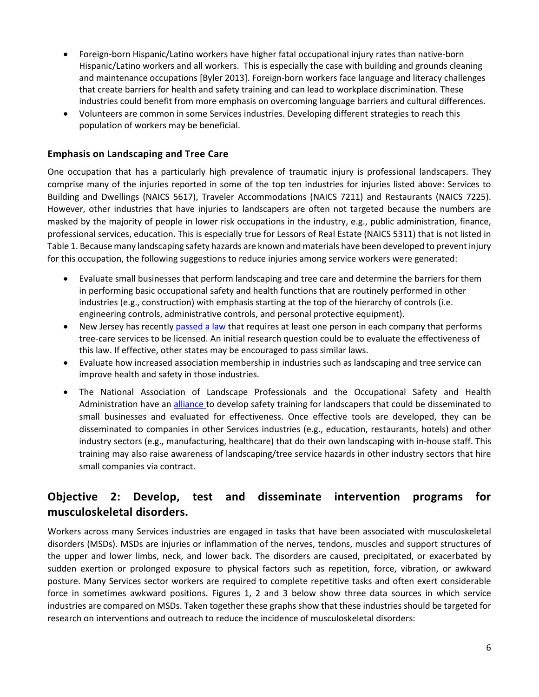- Foreign-born Hispanic/Latino workers have higher fatal occupational injury rates than native-born Hispanic/Latino workers and all workers. This is especially the case with building and grounds cleaning and maintenance occupations [Byler 2013]. Foreign-born workers face language and literacy challenges that create barriers for health and safety training and can lead to workplace discrimination. These industries could benefit from more emphasis on overcoming language barriers and cultural differences.
- Volunteers are common in some Services industries. Developing different strategies to reach this population of workers may be beneficial.

#### **Emphasis on Landscaping and Tree Care**

One occupation that has a particularly high prevalence of traumatic injury is professional landscapers. They comprise many of the injuries reported in some of the top ten industries for injuries listed above: Services to Building and Dwellings (NAICS 5617), Traveler Accommodations (NAICS 7211) and Restaurants (NAICS 7225). However, other industries that have injuries to landscapers are often not targeted because the numbers are masked by the majority of people in lower risk occupations in the industry, e.g., public administration, finance, professional services, education. This is especially true for Lessors of Real Estate (NAICS 5311) that is not listed in Table 1. Because many landscaping safety hazards are known and materials have been developed to prevent injury for this occupation, the following suggestions to reduce injuries among service workers were generated:

- Evaluate small businesses that perform landscaping and tree care and determine the barriers for them in performing basic occupational safety and health functions that are routinely performed in other industries (e.g., construction) with emphasis starting at the top of the hierarchy of controls (i.e. engineering controls, administrative controls, and personal protective equipment).
- New Jersey has recentl[y passed a law](https://njtreeexperts.org/) that requires at least one person in each company that performs tree-care services to be licensed. An initial research question could be to evaluate the effectiveness of this law. If effective, other states may be encouraged to pass similar laws.
- Evaluate how increased association membership in industries such as landscaping and tree service can improve health and safety in those industries.
- The National Association of Landscape Professionals and the Occupational Safety and Health Administration have an [alliance t](https://www.osha.gov/dcsp/alliances/planet/planet.html#!1B)o develop safety training for landscapers that could be disseminated to small businesses and evaluated for effectiveness. Once effective tools are developed, they can be disseminated to companies in other Services industries (e.g., education, restaurants, hotels) and other industry sectors (e.g., manufacturing, healthcare) that do their own landscaping with in-house staff. This training may also raise awareness of landscaping/tree service hazards in other industry sectors that hire small companies via contract.

## **Objective 2: Develop, test and disseminate intervention programs for musculoskeletal disorders.**

Workers across many Services industries are engaged in tasks that have been associated with musculoskeletal disorders (MSDs). MSDs are injuries or inflammation of the nerves, tendons, muscles and support structures of the upper and lower limbs, neck, and lower back. The disorders are caused, precipitated, or exacerbated by sudden exertion or prolonged exposure to physical factors such as repetition, force, vibration, or awkward posture. Many Services sector workers are required to complete repetitive tasks and often exert considerable force in sometimes awkward positions. Figures 1, 2 and 3 below show three data sources in which service industries are compared on MSDs. Taken together these graphs show that these industries should be targeted for research on interventions and outreach to reduce the incidence of musculoskeletal disorders: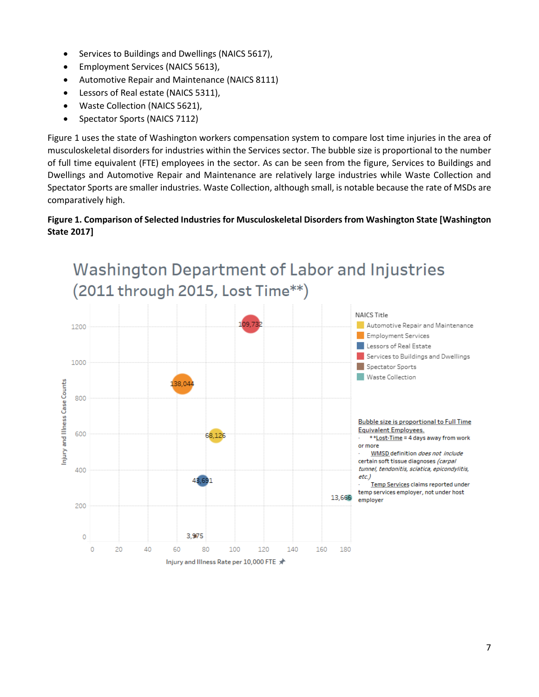- Services to Buildings and Dwellings (NAICS 5617),
- Employment Services (NAICS 5613),
- Automotive Repair and Maintenance (NAICS 8111)
- Lessors of Real estate (NAICS 5311),
- Waste Collection (NAICS 5621),
- Spectator Sports (NAICS 7112)

Figure 1 uses the state of Washington workers compensation system to compare lost time injuries in the area of musculoskeletal disorders for industries within the Services sector. The bubble size is proportional to the number of full time equivalent (FTE) employees in the sector. As can be seen from the figure, Services to Buildings and Dwellings and Automotive Repair and Maintenance are relatively large industries while Waste Collection and Spectator Sports are smaller industries. Waste Collection, although small, is notable because the rate of MSDs are comparatively high.

### **Figure 1. Comparison of Selected Industries for Musculoskeletal Disorders from Washington State [Washington State 2017]**

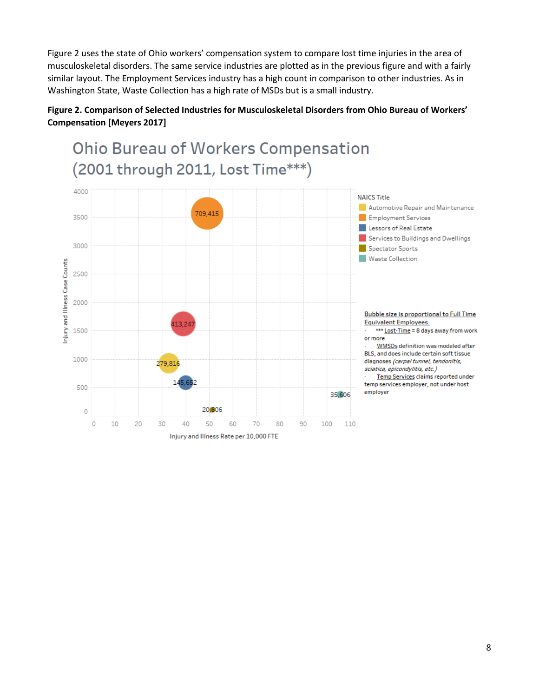Figure 2 uses the state of Ohio workers' compensation system to compare lost time injuries in the area of musculoskeletal disorders. The same service industries are plotted as in the previous figure and with a fairly similar layout. The Employment Services industry has a high count in comparison to other industries. As in Washington State, Waste Collection has a high rate of MSDs but is a small industry.

### **Figure 2. Comparison of Selected Industries for Musculoskeletal Disorders from Ohio Bureau of Workers' Compensation [Meyers 2017]**

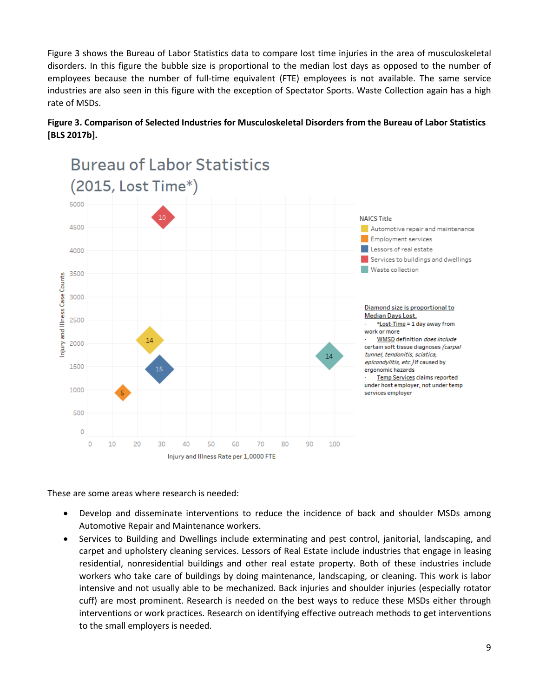Figure 3 shows the Bureau of Labor Statistics data to compare lost time injuries in the area of musculoskeletal disorders. In this figure the bubble size is proportional to the median lost days as opposed to the number of employees because the number of full-time equivalent (FTE) employees is not available. The same service industries are also seen in this figure with the exception of Spectator Sports. Waste Collection again has a high rate of MSDs.

![](_page_9_Figure_1.jpeg)

### **Figure 3. Comparison of Selected Industries for Musculoskeletal Disorders from the Bureau of Labor Statistics [BLS 2017b].**

These are some areas where research is needed:

20

30

40

50

Injury and Illness Rate per 1,0000 FTE

60

70

0  $\circ$ 

10

• Develop and disseminate interventions to reduce the incidence of back and shoulder MSDs among Automotive Repair and Maintenance workers.

80

90

100

• Services to Building and Dwellings include exterminating and pest control, janitorial, landscaping, and carpet and upholstery cleaning services. Lessors of Real Estate include industries that engage in leasing residential, nonresidential buildings and other real estate property. Both of these industries include workers who take care of buildings by doing maintenance, landscaping, or cleaning. This work is labor intensive and not usually able to be mechanized. Back injuries and shoulder injuries (especially rotator cuff) are most prominent. Research is needed on the best ways to reduce these MSDs either through interventions or work practices. Research on identifying effective outreach methods to get interventions to the small employers is needed.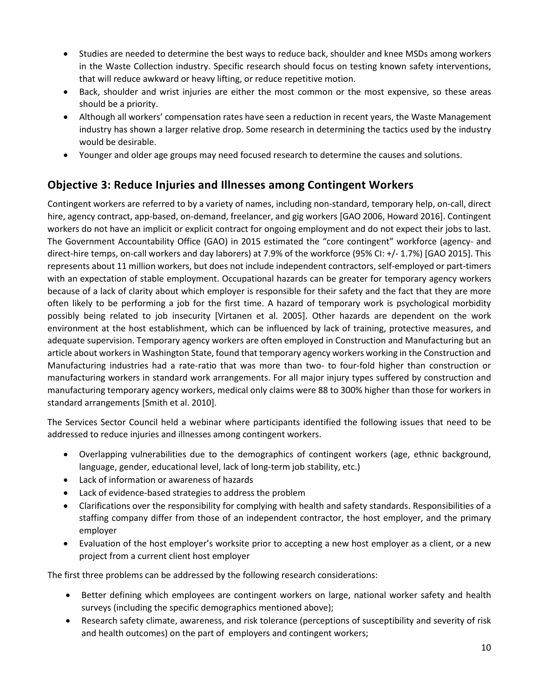- Studies are needed to determine the best ways to reduce back, shoulder and knee MSDs among workers in the Waste Collection industry. Specific research should focus on testing known safety interventions, that will reduce awkward or heavy lifting, or reduce repetitive motion.
- Back, shoulder and wrist injuries are either the most common or the most expensive, so these areas should be a priority.
- Although all workers' compensation rates have seen a reduction in recent years, the Waste Management industry has shown a larger relative drop. Some research in determining the tactics used by the industry would be desirable.
- Younger and older age groups may need focused research to determine the causes and solutions.

## **Objective 3: Reduce Injuries and Illnesses among Contingent Workers**

Contingent workers are referred to by a variety of names, including non-standard, temporary help, on-call, direct hire, agency contract, app-based, on-demand, freelancer, and gig workers [GAO 2006, Howard 2016]. Contingent workers do not have an implicit or explicit contract for ongoing employment and do not expect their jobs to last. The Government Accountability Office (GAO) in 2015 estimated the "core contingent" workforce (agency- and direct-hire temps, on-call workers and day laborers) at 7.9% of the workforce (95% CI: +/- 1.7%) [GAO 2015]. This represents about 11 million workers, but does not include independent contractors, self-employed or part-timers with an expectation of stable employment. Occupational hazards can be greater for temporary agency workers because of a lack of clarity about which employer is responsible for their safety and the fact that they are more often likely to be performing a job for the first time. A hazard of temporary work is psychological morbidity possibly being related to job insecurity [Virtanen et al. 2005]. Other hazards are dependent on the work environment at the host establishment, which can be influenced by lack of training, protective measures, and adequate supervision. Temporary agency workers are often employed in Construction and Manufacturing but an article about workers in Washington State, found that temporary agency workers working in the Construction and Manufacturing industries had a rate-ratio that was more than two- to four-fold higher than construction or manufacturing workers in standard work arrangements. For all major injury types suffered by construction and manufacturing temporary agency workers, medical only claims were 88 to 300% higher than those for workers in standard arrangements [Smith et al. 2010].

The Services Sector Council held a webinar where participants identified the following issues that need to be addressed to reduce injuries and illnesses among contingent workers.

- Overlapping vulnerabilities due to the demographics of contingent workers (age, ethnic background, language, gender, educational level, lack of long-term job stability, etc.)
- Lack of information or awareness of hazards
- Lack of evidence-based strategies to address the problem
- Clarifications over the responsibility for complying with health and safety standards. Responsibilities of a staffing company differ from those of an independent contractor, the host employer, and the primary employer
- Evaluation of the host employer's worksite prior to accepting a new host employer as a client, or a new project from a current client host employer

The first three problems can be addressed by the following research considerations:

- Better defining which employees are contingent workers on large, national worker safety and health surveys (including the specific demographics mentioned above);
- Research safety climate, awareness, and risk tolerance (perceptions of susceptibility and severity of risk and health outcomes) on the part of employers and contingent workers;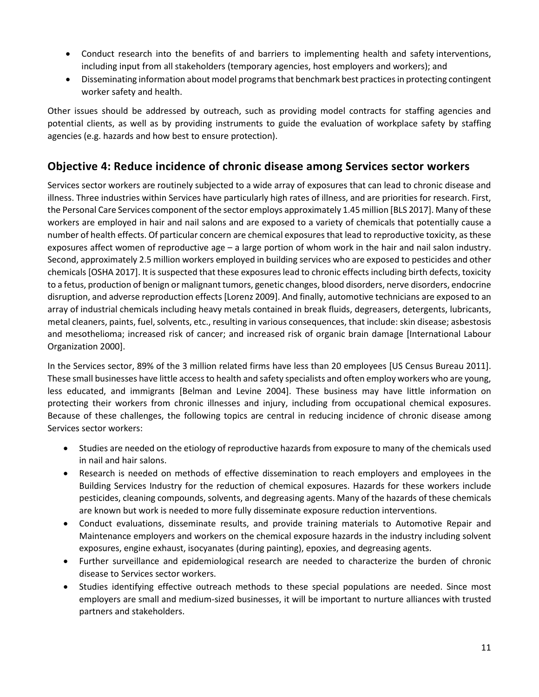- Conduct research into the benefits of and barriers to implementing health and safety interventions, including input from all stakeholders (temporary agencies, host employers and workers); and
- Disseminating information about model programs that benchmark best practices in protecting contingent worker safety and health.

Other issues should be addressed by outreach, such as providing model contracts for staffing agencies and potential clients, as well as by providing instruments to guide the evaluation of workplace safety by staffing agencies (e.g. hazards and how best to ensure protection).

## **Objective 4: Reduce incidence of chronic disease among Services sector workers**

Services sector workers are routinely subjected to a wide array of exposures that can lead to chronic disease and illness. Three industries within Services have particularly high rates of illness, and are priorities for research. First, the Personal Care Services component of the sector employs approximately 1.45 million [BLS 2017]. Many of these workers are employed in hair and nail salons and are exposed to a variety of chemicals that potentially cause a number of health effects. Of particular concern are chemical exposures that lead to reproductive toxicity, as these exposures affect women of reproductive age – a large portion of whom work in the hair and nail salon industry. Second, approximately 2.5 million workers employed in building services who are exposed to pesticides and other chemicals [OSHA 2017]. It is suspected that these exposures lead to chronic effects including birth defects, toxicity to a fetus, production of benign or malignant tumors, genetic changes, blood disorders, nerve disorders, endocrine disruption, and adverse reproduction effects [Lorenz 2009]. And finally, automotive technicians are exposed to an array of industrial chemicals including heavy metals contained in break fluids, degreasers, detergents, lubricants, metal cleaners, paints, fuel, solvents, etc., resulting in various consequences, that include: skin disease; asbestosis and mesothelioma; increased risk of cancer; and increased risk of organic brain damage [International Labour Organization 2000].

In the Services sector, 89% of the 3 million related firms have less than 20 employees [US Census Bureau 2011]. These small businesses have little access to health and safety specialists and often employ workers who are young, less educated, and immigrants [Belman and Levine 2004]. These business may have little information on protecting their workers from chronic illnesses and injury, including from occupational chemical exposures. Because of these challenges, the following topics are central in reducing incidence of chronic disease among Services sector workers:

- Studies are needed on the etiology of reproductive hazards from exposure to many of the chemicals used in nail and hair salons.
- Research is needed on methods of effective dissemination to reach employers and employees in the Building Services Industry for the reduction of chemical exposures. Hazards for these workers include pesticides, cleaning compounds, solvents, and degreasing agents. Many of the hazards of these chemicals are known but work is needed to more fully disseminate exposure reduction interventions.
- Conduct evaluations, disseminate results, and provide training materials to Automotive Repair and Maintenance employers and workers on the chemical exposure hazards in the industry including solvent exposures, engine exhaust, isocyanates (during painting), epoxies, and degreasing agents.
- Further surveillance and epidemiological research are needed to characterize the burden of chronic disease to Services sector workers.
- Studies identifying effective outreach methods to these special populations are needed. Since most employers are small and medium-sized businesses, it will be important to nurture alliances with trusted partners and stakeholders.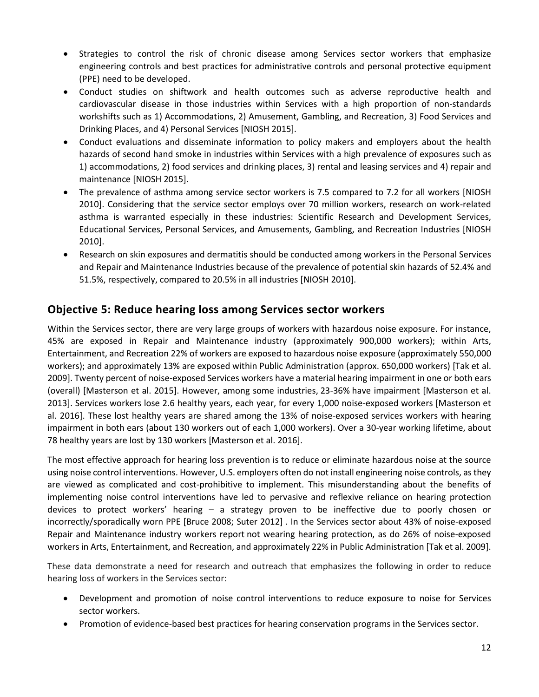- Strategies to control the risk of chronic disease among Services sector workers that emphasize engineering controls and best practices for administrative controls and personal protective equipment (PPE) need to be developed.
- Conduct studies on shiftwork and health outcomes such as adverse reproductive health and cardiovascular disease in those industries within Services with a high proportion of non-standards workshifts such as 1) Accommodations, 2) Amusement, Gambling, and Recreation, 3) Food Services and Drinking Places, and 4) Personal Services [NIOSH 2015].
- Conduct evaluations and disseminate information to policy makers and employers about the health hazards of second hand smoke in industries within Services with a high prevalence of exposures such as 1) accommodations, 2) food services and drinking places, 3) rental and leasing services and 4) repair and maintenance [NIOSH 2015].
- The prevalence of asthma among service sector workers is 7.5 compared to 7.2 for all workers [NIOSH] 2010]. Considering that the service sector employs over 70 million workers, research on work-related asthma is warranted especially in these industries: Scientific Research and Development Services, Educational Services, Personal Services, and Amusements, Gambling, and Recreation Industries [NIOSH 2010].
- Research on skin exposures and dermatitis should be conducted among workers in the Personal Services and Repair and Maintenance Industries because of the prevalence of potential skin hazards of 52.4% and 51.5%, respectively, compared to 20.5% in all industries [NIOSH 2010].

## **Objective 5: Reduce hearing loss among Services sector workers**

Within the Services sector, there are very large groups of workers with hazardous noise exposure. For instance, 45% are exposed in Repair and Maintenance industry (approximately 900,000 workers); within Arts, Entertainment, and Recreation 22% of workers are exposed to hazardous noise exposure (approximately 550,000 workers); and approximately 13% are exposed within Public Administration (approx. 650,000 workers) [Tak et al. 2009]. Twenty percent of noise-exposed Services workers have a material hearing impairment in one or both ears (overall) [Masterson et al. 2015]. However, among some industries, 23-36% have impairment [Masterson et al. 2013]. Services workers lose 2.6 healthy years, each year, for every 1,000 noise-exposed workers [Masterson et al. 2016]. These lost healthy years are shared among the 13% of noise-exposed services workers with hearing impairment in both ears (about 130 workers out of each 1,000 workers). Over a 30-year working lifetime, about 78 healthy years are lost by 130 workers [Masterson et al. 2016].

The most effective approach for hearing loss prevention is to reduce or eliminate hazardous noise at the source using noise control interventions. However, U.S. employers often do not install engineering noise controls, as they are viewed as complicated and cost-prohibitive to implement. This misunderstanding about the benefits of implementing noise control interventions have led to pervasive and reflexive reliance on hearing protection devices to protect workers' hearing – a strategy proven to be ineffective due to poorly chosen or incorrectly/sporadically worn PPE [Bruce 2008; Suter 2012] . In the Services sector about 43% of noise-exposed Repair and Maintenance industry workers report not wearing hearing protection, as do 26% of noise-exposed workers in Arts, Entertainment, and Recreation, and approximately 22% in Public Administration [Tak et al. 2009].

These data demonstrate a need for research and outreach that emphasizes the following in order to reduce hearing loss of workers in the Services sector:

- Development and promotion of noise control interventions to reduce exposure to noise for Services sector workers.
- Promotion of evidence-based best practices for hearing conservation programs in the Services sector.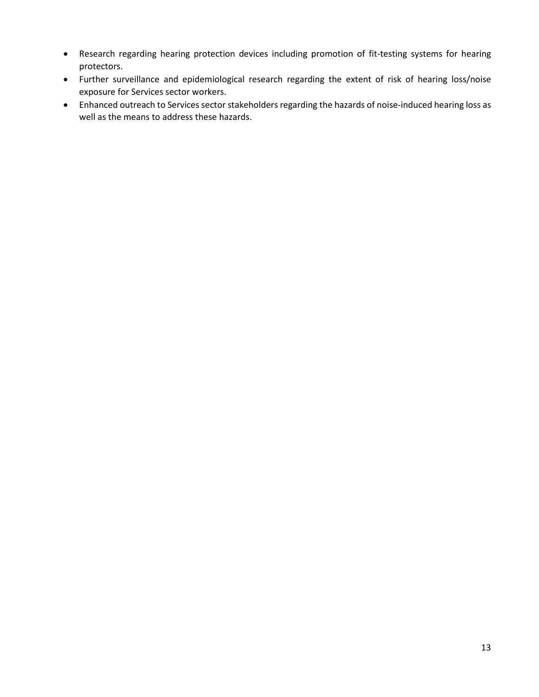- Research regarding hearing protection devices including promotion of fit-testing systems for hearing protectors.
- Further surveillance and epidemiological research regarding the extent of risk of hearing loss/noise exposure for Services sector workers.
- Enhanced outreach to Services sector stakeholders regarding the hazards of noise-induced hearing loss as well as the means to address these hazards.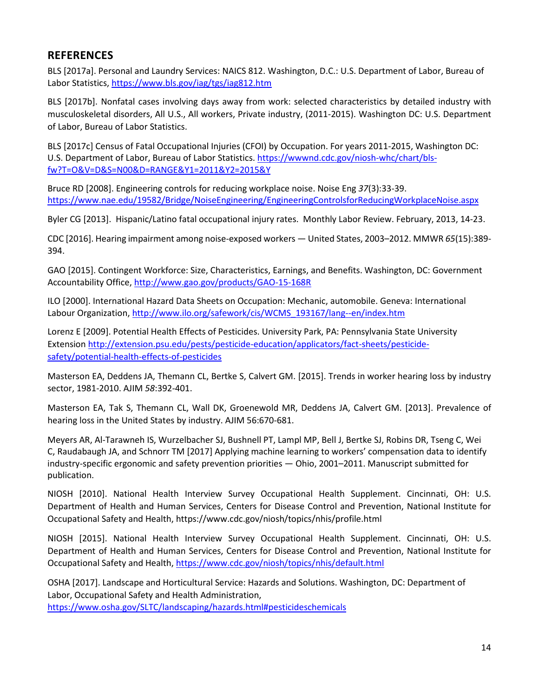### **REFERENCES**

BLS [2017a]. Personal and Laundry Services: NAICS 812. Washington, D.C.: U.S. Department of Labor, Bureau of Labor Statistics[, https://www.bls.gov/iag/tgs/iag812.htm](https://www.bls.gov/iag/tgs/iag812.htm) 

BLS [2017b]. Nonfatal cases involving days away from work: selected characteristics by detailed industry with musculoskeletal disorders, All U.S., All workers, Private industry, (2011-2015). Washington DC: U.S. Department of Labor, Bureau of Labor Statistics.

BLS [2017c] Census of Fatal Occupational Injuries (CFOI) by Occupation. For years 2011-2015, Washington DC: U.S. Department of Labor, Bureau of Labor Statistics. [https://wwwnd.cdc.gov/niosh-whc/chart/bls](https://wwwnd.cdc.gov/niosh-whc/chart/bls-fw?T=O&V=D&S=N00&D=RANGE&Y1=2011&Y2=2015&Y)[fw?T=O&V=D&S=N00&D=RANGE&Y1=2011&Y2=2015&Y](https://wwwnd.cdc.gov/niosh-whc/chart/bls-fw?T=O&V=D&S=N00&D=RANGE&Y1=2011&Y2=2015&Y)

Bruce RD [2008]. Engineering controls for reducing workplace noise. Noise Eng *37*(3):33-39. <https://www.nae.edu/19582/Bridge/NoiseEngineering/EngineeringControlsforReducingWorkplaceNoise.aspx>

Byler CG [2013]. Hispanic/Latino fatal occupational injury rates. Monthly Labor Review. February, 2013, 14-23.

CDC [2016]. Hearing impairment among noise-exposed workers — United States, 2003–2012. MMWR *65*(15):389- 394.

GAO [2015]. Contingent Workforce: Size, Characteristics, Earnings, and Benefits. Washington, DC: Government Accountability Office, <http://www.gao.gov/products/GAO-15-168R>

ILO [2000]. International Hazard Data Sheets on Occupation: Mechanic, automobile. Geneva: International Labour Organization, http://www.ilo.org/safework/cis/WCMS 193167/lang--en/index.htm

Lorenz E [2009]. Potential Health Effects of Pesticides. University Park, PA: Pennsylvania State University Extension [http://extension.psu.edu/pests/pesticide-education/applicators/fact-sheets/pesticide](http://extension.psu.edu/pests/pesticide-education/applicators/fact-sheets/pesticide-safety/potential-health-effects-of-pesticides)[safety/potential-health-effects-of-pesticides](http://extension.psu.edu/pests/pesticide-education/applicators/fact-sheets/pesticide-safety/potential-health-effects-of-pesticides) 

Masterson EA, Deddens JA, Themann CL, Bertke S, Calvert GM. [2015]. Trends in worker hearing loss by industry sector, 1981-2010. AJIM *58*:392-401.

Masterson EA, Tak S, Themann CL, Wall DK, Groenewold MR, Deddens JA, Calvert GM. [2013]. Prevalence of hearing loss in the United States by industry. AJIM 56:670-681.

Meyers AR, Al-Tarawneh IS, Wurzelbacher SJ, Bushnell PT, Lampl MP, Bell J, Bertke SJ, Robins DR, Tseng C, Wei C, Raudabaugh JA, and Schnorr TM [2017] Applying machine learning to workers' compensation data to identify industry-specific ergonomic and safety prevention priorities — Ohio, 2001–2011. Manuscript submitted for publication.

NIOSH [2010]. National Health Interview Survey Occupational Health Supplement. Cincinnati, OH: U.S. Department of Health and Human Services, Centers for Disease Control and Prevention, National Institute for Occupational Safety and Health, https://www.cdc.gov/niosh/topics/nhis/profile.html

NIOSH [2015]. National Health Interview Survey Occupational Health Supplement. Cincinnati, OH: U.S. Department of Health and Human Services, Centers for Disease Control and Prevention, National Institute for Occupational Safety and Health,<https://www.cdc.gov/niosh/topics/nhis/default.html>

OSHA [2017]. Landscape and Horticultural Service: Hazards and Solutions. Washington, DC: Department of Labor, Occupational Safety and Health Administration, <https://www.osha.gov/SLTC/landscaping/hazards.html#pesticideschemicals>